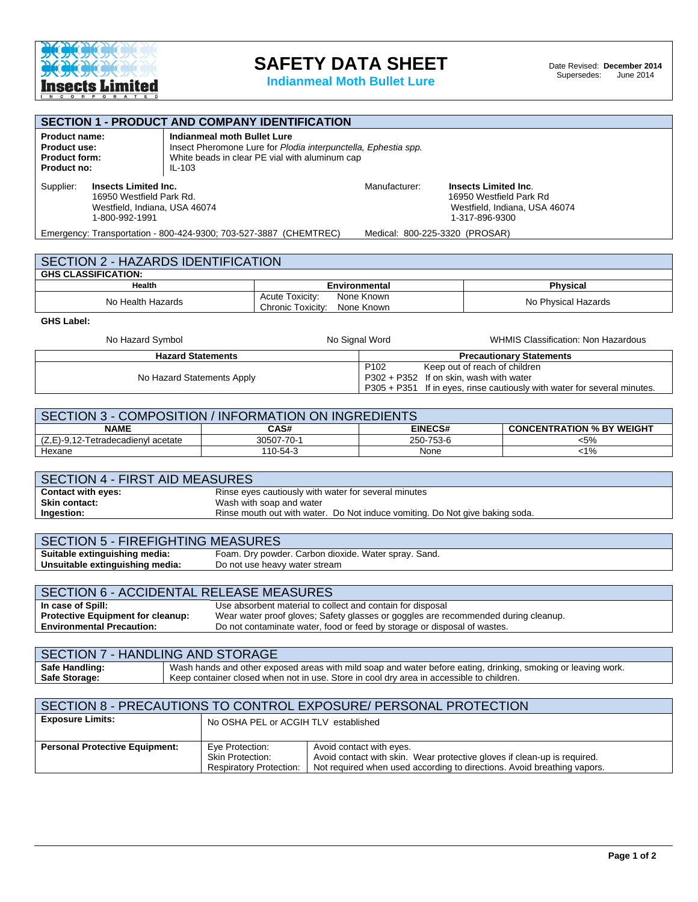

## **SAFETY DATA SHEET**

**Indianmeal Moth Bullet Lure**

| <b>SECTION 1 - PRODUCT AND COMPANY IDENTIFICATION</b>                                                                                                                                                                                             |                                                                  |                                                                                          |                                                                                                                                                                 |                                               |                                                                         |
|---------------------------------------------------------------------------------------------------------------------------------------------------------------------------------------------------------------------------------------------------|------------------------------------------------------------------|------------------------------------------------------------------------------------------|-----------------------------------------------------------------------------------------------------------------------------------------------------------------|-----------------------------------------------|-------------------------------------------------------------------------|
| Indianmeal moth Bullet Lure<br><b>Product name:</b><br>Insect Pheromone Lure for Plodia interpunctella, Ephestia spp.<br><b>Product use:</b><br>White beads in clear PE vial with aluminum cap<br><b>Product form:</b><br>$IL-103$<br>Product no: |                                                                  |                                                                                          |                                                                                                                                                                 |                                               |                                                                         |
| Supplier:<br><b>Insects Limited Inc.</b><br>16950 Westfield Park Rd.<br>Westfield, Indiana, USA 46074<br>1-800-992-1991                                                                                                                           |                                                                  |                                                                                          | Manufacturer:                                                                                                                                                   | <b>Insects Limited Inc.</b><br>1-317-896-9300 | 16950 Westfield Park Rd<br>Westfield, Indiana, USA 46074                |
| Emergency: Transportation - 800-424-9300; 703-527-3887 (CHEMTREC)                                                                                                                                                                                 |                                                                  |                                                                                          | Medical: 800-225-3320 (PROSAR)                                                                                                                                  |                                               |                                                                         |
| SECTION 2 - HAZARDS IDENTIFICATION                                                                                                                                                                                                                |                                                                  |                                                                                          |                                                                                                                                                                 |                                               |                                                                         |
| <b>GHS CLASSIFICATION:</b>                                                                                                                                                                                                                        |                                                                  |                                                                                          |                                                                                                                                                                 |                                               |                                                                         |
| Health                                                                                                                                                                                                                                            |                                                                  | <b>Environmental</b><br>None Known                                                       |                                                                                                                                                                 | <b>Physical</b>                               |                                                                         |
| No Health Hazards                                                                                                                                                                                                                                 |                                                                  | Acute Toxicity:<br>Chronic Toxicity:                                                     | None Known                                                                                                                                                      |                                               | No Physical Hazards                                                     |
| <b>GHS Label:</b>                                                                                                                                                                                                                                 |                                                                  |                                                                                          |                                                                                                                                                                 |                                               |                                                                         |
| No Hazard Symbol                                                                                                                                                                                                                                  |                                                                  |                                                                                          | No Signal Word                                                                                                                                                  |                                               | <b>WHMIS Classification: Non Hazardous</b>                              |
| <b>Hazard Statements</b>                                                                                                                                                                                                                          |                                                                  |                                                                                          |                                                                                                                                                                 |                                               | <b>Precautionary Statements</b>                                         |
| No Hazard Statements Apply                                                                                                                                                                                                                        |                                                                  |                                                                                          | P102<br>Keep out of reach of children<br>P302 + P352 If on skin, wash with water<br>P305 + P351<br>If in eyes, rinse cautiously with water for several minutes. |                                               |                                                                         |
|                                                                                                                                                                                                                                                   |                                                                  |                                                                                          |                                                                                                                                                                 |                                               |                                                                         |
| SECTION 3 - COMPOSITION / INFORMATION ON INGREDIENTS                                                                                                                                                                                              |                                                                  |                                                                                          |                                                                                                                                                                 |                                               |                                                                         |
| <b>NAME</b><br>(Z,E)-9,12-Tetradecadienyl acetate                                                                                                                                                                                                 |                                                                  | CAS#<br>30507-70-1                                                                       | <b>EINECS#</b><br>250-753-6                                                                                                                                     |                                               | <b>CONCENTRATION % BY WEIGHT</b><br>$< 5\%$                             |
| Hexane                                                                                                                                                                                                                                            |                                                                  | 110-54-3                                                                                 | None                                                                                                                                                            |                                               | $< 1\%$                                                                 |
|                                                                                                                                                                                                                                                   |                                                                  |                                                                                          |                                                                                                                                                                 |                                               |                                                                         |
| <b>SECTION 4 - FIRST AID MEASURES</b>                                                                                                                                                                                                             |                                                                  |                                                                                          |                                                                                                                                                                 |                                               |                                                                         |
| <b>Contact with eyes:</b>                                                                                                                                                                                                                         |                                                                  | Rinse eyes cautiously with water for several minutes                                     |                                                                                                                                                                 |                                               |                                                                         |
| Skin contact:                                                                                                                                                                                                                                     |                                                                  | Wash with soap and water                                                                 |                                                                                                                                                                 |                                               |                                                                         |
| Ingestion:                                                                                                                                                                                                                                        |                                                                  | Rinse mouth out with water. Do Not induce vomiting. Do Not give baking soda.             |                                                                                                                                                                 |                                               |                                                                         |
| <b>SECTION 5 - FIREFIGHTING MEASURES</b>                                                                                                                                                                                                          |                                                                  |                                                                                          |                                                                                                                                                                 |                                               |                                                                         |
| Suitable extinguishing media:<br>Foam. Dry powder. Carbon dioxide. Water spray. Sand.                                                                                                                                                             |                                                                  |                                                                                          |                                                                                                                                                                 |                                               |                                                                         |
|                                                                                                                                                                                                                                                   | Unsuitable extinguishing media:<br>Do not use heavy water stream |                                                                                          |                                                                                                                                                                 |                                               |                                                                         |
| <b>SECTION 6 - ACCIDENTAL RELEASE MEASURES</b>                                                                                                                                                                                                    |                                                                  |                                                                                          |                                                                                                                                                                 |                                               |                                                                         |
| In case of Spill:                                                                                                                                                                                                                                 |                                                                  | Use absorbent material to collect and contain for disposal                               |                                                                                                                                                                 |                                               |                                                                         |
| Protective Equipment for cleanup:<br>Wear water proof gloves; Safety glasses or goggles are recommended during cleanup.                                                                                                                           |                                                                  |                                                                                          |                                                                                                                                                                 |                                               |                                                                         |
| <b>Environmental Precaution:</b><br>Do not contaminate water, food or feed by storage or disposal of wastes.                                                                                                                                      |                                                                  |                                                                                          |                                                                                                                                                                 |                                               |                                                                         |
| <b>SECTION 7 - HANDLING AND STORAGE</b>                                                                                                                                                                                                           |                                                                  |                                                                                          |                                                                                                                                                                 |                                               |                                                                         |
| Wash hands and other exposed areas with mild soap and water before eating, drinking, smoking or leaving work.<br>Safe Handling:                                                                                                                   |                                                                  |                                                                                          |                                                                                                                                                                 |                                               |                                                                         |
| Safe Storage:                                                                                                                                                                                                                                     |                                                                  | Keep container closed when not in use. Store in cool dry area in accessible to children. |                                                                                                                                                                 |                                               |                                                                         |
| SECTION 8 - PRECAUTIONS TO CONTROL EXPOSURE/ PERSONAL PROTECTION                                                                                                                                                                                  |                                                                  |                                                                                          |                                                                                                                                                                 |                                               |                                                                         |
| <b>Exposure Limits:</b>                                                                                                                                                                                                                           |                                                                  | No OSHA PEL or ACGIH TLV established                                                     |                                                                                                                                                                 |                                               |                                                                         |
| <b>Personal Protective Equipment:</b>                                                                                                                                                                                                             | Eye Protection:                                                  |                                                                                          | Avoid contact with eyes.                                                                                                                                        |                                               |                                                                         |
|                                                                                                                                                                                                                                                   | <b>Skin Protection:</b>                                          |                                                                                          | Avoid contact with skin. Wear protective gloves if clean-up is required.                                                                                        |                                               |                                                                         |
|                                                                                                                                                                                                                                                   |                                                                  | <b>Respiratory Protection:</b>                                                           |                                                                                                                                                                 |                                               | Not required when used according to directions. Avoid breathing vapors. |
|                                                                                                                                                                                                                                                   |                                                                  |                                                                                          |                                                                                                                                                                 |                                               |                                                                         |